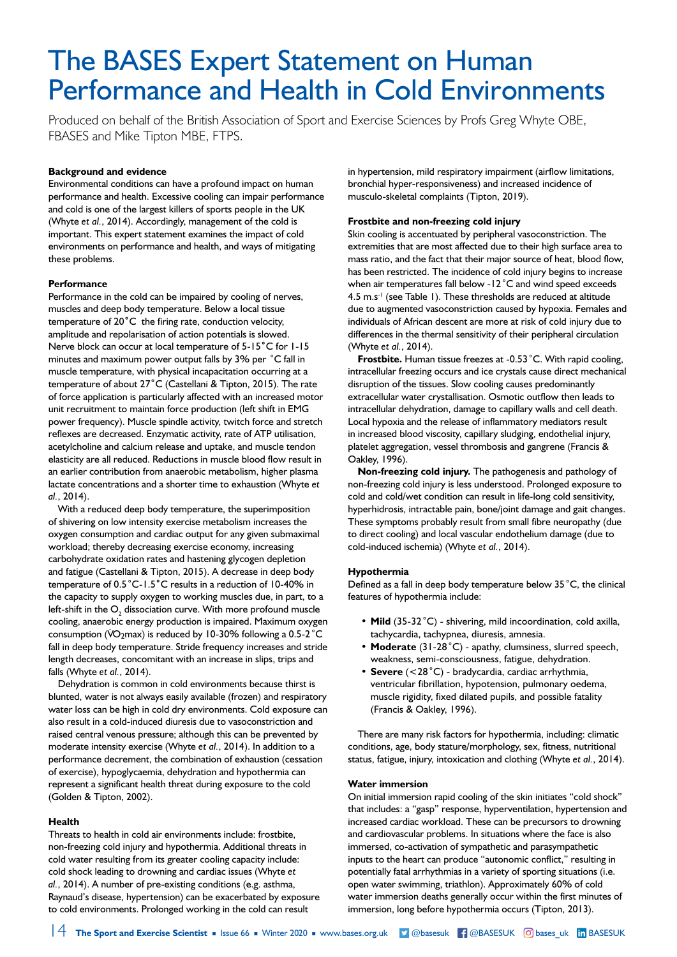# The BASES Expert Statement on Human Performance and Health in Cold Environments

Produced on behalf of the British Association of Sport and Exercise Sciences by Profs Greg Whyte OBE, FBASES and Mike Tipton MBE, FTPS.

## **Background and evidence**

Environmental conditions can have a profound impact on human performance and health. Excessive cooling can impair performance and cold is one of the largest killers of sports people in the UK (Whyte *et al.*, 2014). Accordingly, management of the cold is important. This expert statement examines the impact of cold environments on performance and health, and ways of mitigating these problems.

## **Performance**

Performance in the cold can be impaired by cooling of nerves, muscles and deep body temperature. Below a local tissue temperature of 20**˚**C the firing rate, conduction velocity, amplitude and repolarisation of action potentials is slowed. Nerve block can occur at local temperature of 5-15**˚**C for 1-15 minutes and maximum power output falls by 3% per *˚*C fall in muscle temperature, with physical incapacitation occurring at a temperature of about 27**˚**C (Castellani & Tipton, 2015). The rate of force application is particularly affected with an increased motor unit recruitment to maintain force production (left shift in EMG power frequency). Muscle spindle activity, twitch force and stretch reflexes are decreased. Enzymatic activity, rate of ATP utilisation, acetylcholine and calcium release and uptake, and muscle tendon elasticity are all reduced. Reductions in muscle blood flow result in an earlier contribution from anaerobic metabolism, higher plasma lactate concentrations and a shorter time to exhaustion (Whyte *et al.*, 2014).

With a reduced deep body temperature, the superimposition of shivering on low intensity exercise metabolism increases the oxygen consumption and cardiac output for any given submaximal workload; thereby decreasing exercise economy, increasing carbohydrate oxidation rates and hastening glycogen depletion and fatigue (Castellani & Tipton, 2015). A decrease in deep body temperature of 0.5*˚*C-1.5**˚**C results in a reduction of 10-40% in the capacity to supply oxygen to working muscles due, in part, to a left-shift in the  $\mathsf{O}_\mathfrak{z}$  dissociation curve. With more profound muscle cooling, anaerobic energy production is impaired. Maximum oxygen consumption (VO<sub>2</sub>max) is reduced by 10-30% following a 0.5-2<sup>°</sup>C fall in deep body temperature. Stride frequency increases and stride length decreases, concomitant with an increase in slips, trips and falls (Whyte *et al.*, 2014).

Dehydration is common in cold environments because thirst is blunted, water is not always easily available (frozen) and respiratory water loss can be high in cold dry environments. Cold exposure can also result in a cold-induced diuresis due to vasoconstriction and raised central venous pressure; although this can be prevented by moderate intensity exercise (Whyte *et al.*, 2014). In addition to a performance decrement, the combination of exhaustion (cessation of exercise), hypoglycaemia, dehydration and hypothermia can represent a significant health threat during exposure to the cold (Golden & Tipton, 2002).

## **Health**

Threats to health in cold air environments include: frostbite, non-freezing cold injury and hypothermia. Additional threats in cold water resulting from its greater cooling capacity include: cold shock leading to drowning and cardiac issues (Whyte *et al.*, 2014). A number of pre-existing conditions (e.g. asthma, Raynaud's disease, hypertension) can be exacerbated by exposure to cold environments. Prolonged working in the cold can result

in hypertension, mild respiratory impairment (airflow limitations, bronchial hyper-responsiveness) and increased incidence of musculo-skeletal complaints (Tipton, 2019).

## **Frostbite and non-freezing cold injury**

Skin cooling is accentuated by peripheral vasoconstriction. The extremities that are most affected due to their high surface area to mass ratio, and the fact that their major source of heat, blood flow, has been restricted. The incidence of cold injury begins to increase when air temperatures fall below -12*˚*C and wind speed exceeds 4.5 m.s-1 (see Table 1). These thresholds are reduced at altitude due to augmented vasoconstriction caused by hypoxia. Females and individuals of African descent are more at risk of cold injury due to differences in the thermal sensitivity of their peripheral circulation (Whyte *et al.*, 2014).

**Frostbite.** Human tissue freezes at -0.53*˚*C. With rapid cooling, intracellular freezing occurs and ice crystals cause direct mechanical disruption of the tissues. Slow cooling causes predominantly extracellular water crystallisation. Osmotic outflow then leads to intracellular dehydration, damage to capillary walls and cell death. Local hypoxia and the release of inflammatory mediators result in increased blood viscosity, capillary sludging, endothelial injury, platelet aggregation, vessel thrombosis and gangrene (Francis & Oakley, 1996).

**Non-freezing cold injury.** The pathogenesis and pathology of non-freezing cold injury is less understood. Prolonged exposure to cold and cold/wet condition can result in life-long cold sensitivity, hyperhidrosis, intractable pain, bone/joint damage and gait changes. These symptoms probably result from small fibre neuropathy (due to direct cooling) and local vascular endothelium damage (due to cold-induced ischemia) (Whyte *et al.*, 2014).

## **Hypothermia**

Defined as a fall in deep body temperature below 35*˚*C, the clinical features of hypothermia include:

- **• Mild** (35-32*˚*C) shivering, mild incoordination, cold axilla, tachycardia, tachypnea, diuresis, amnesia.
- **• Moderate** (31-28*˚*C) apathy, clumsiness, slurred speech, weakness, semi-consciousness, fatigue, dehydration.
- **• Severe** (<28*˚*C) bradycardia, cardiac arrhythmia, ventricular fibrillation, hypotension, pulmonary oedema, muscle rigidity, fixed dilated pupils, and possible fatality (Francis & Oakley, 1996).

There are many risk factors for hypothermia, including: climatic conditions, age, body stature/morphology, sex, fitness, nutritional status, fatigue, injury, intoxication and clothing (Whyte *et al.*, 2014).

## **Water immersion**

On initial immersion rapid cooling of the skin initiates "cold shock" that includes: a "gasp" response, hyperventilation, hypertension and increased cardiac workload. These can be precursors to drowning and cardiovascular problems. In situations where the face is also immersed, co-activation of sympathetic and parasympathetic inputs to the heart can produce "autonomic conflict," resulting in potentially fatal arrhythmias in a variety of sporting situations (i.e. open water swimming, triathlon). Approximately 60% of cold water immersion deaths generally occur within the first minutes of immersion, long before hypothermia occurs (Tipton, 2013).